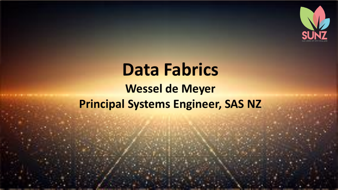

# **Data Fabrics Wessel de Meyer Principal Systems Engineer, SAS NZ**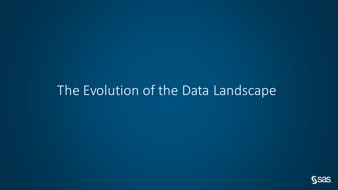### The Evolution of the Data Landscape

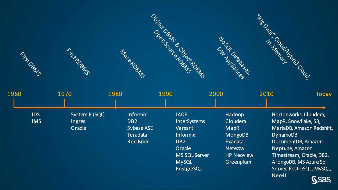

| 1960 |            | 1970           | 1980 |                  | 1990                 | 2000              | 2010            | Today                     |
|------|------------|----------------|------|------------------|----------------------|-------------------|-----------------|---------------------------|
|      |            |                |      |                  |                      |                   |                 |                           |
|      | <b>IDS</b> | System R (SQL) |      | <b>Informix</b>  | <b>JADE</b>          | Hadoop            |                 | Hortonworks, Cloudera,    |
|      | <b>IMS</b> | Ingres         |      | DB <sub>2</sub>  | <b>InterSystems</b>  | Cloudera          |                 | MapR, Snowflake, S3,      |
|      |            | Oracle         |      | Sybase ASE       | Versant              | <b>MapR</b>       |                 | MariaDB, Amazon Redshift, |
|      |            |                |      | Teradata         | <b>Informix</b>      | MongoDB           | <b>DynamoDB</b> |                           |
|      |            |                |      | <b>Red Brick</b> | DB <sub>2</sub>      | Exadata           |                 | DocumentDB, Amazon        |
|      |            |                |      |                  | Oracle               | Netezza           |                 | Neptune, Amazon           |
|      |            |                |      |                  | <b>MS SQL Server</b> | <b>HP Neoview</b> |                 | Timestream, Oracle, DB2,  |
|      |            |                |      |                  | <b>MySQL</b>         | Greenplum         |                 | ArongoDB, MS Azure Sql    |
|      |            |                |      |                  | PostgreSQL           |                   |                 | Server, PostreSQL, MySQL, |

**SSAS** 

Neo4J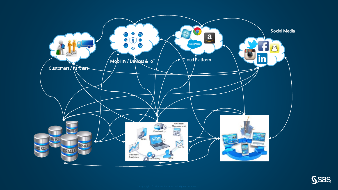

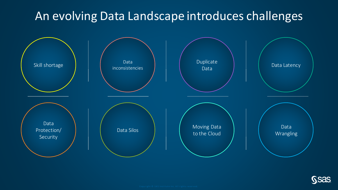#### An evolving Data Landscape introduces challenges



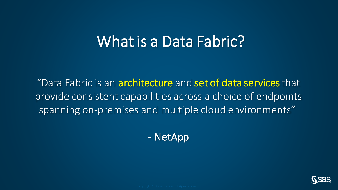# What is a Data Fabric?

"Data Fabric is an architecture and set of data services that provide consistent capabilities across a choice of endpoints spanning on-premises and multiple cloud environments"

- NetApp

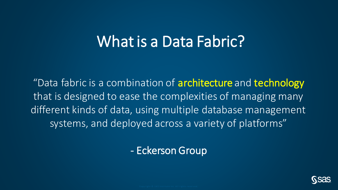# What is a Data Fabric?

"Data fabric is a combination of **architecture** and **technology** that is designed to ease the complexities of managing many different kinds of data, using multiple database management systems, and deployed across a variety of platforms"

#### - Eckerson Group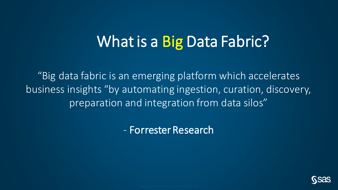# What is a Big Data Fabric?

"Big data fabric is an emerging platform which accelerates business insights "by automating ingestion, curation, discovery, preparation and integration from data silos"

- Forrester Research

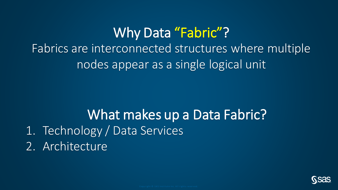## Why Data "Fabric"? Fabrics are interconnected structures where multiple nodes appear as a single logical unit

### What makes up a Data Fabric? 1. Technology / Data Services 2. Architecture

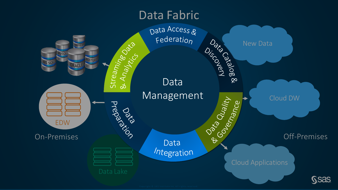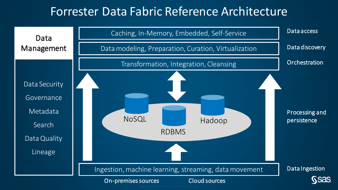#### Forrester Data Fabric Reference Architecture

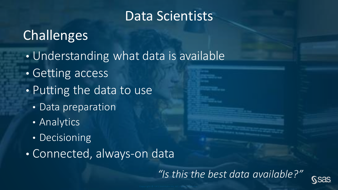### Data Scientists

### **Challenges**

- Understanding what data is available
- Getting access
- Putting the data to use
	- Data preparation
	- Analytics
	- Decisioning
- Connected, always-on data

*"Is this the best data available?"*

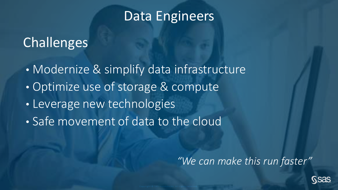#### Data Engineers

### Challenges

- Modernize & simplify data infrastructure
- Optimize use of storage & compute
- Leverage new technologies
- Safe movement of data to the cloud

*"We can make this run faster"*

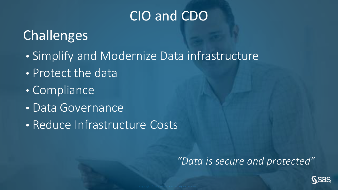### CIO and CDO

## **Challenges**

- Simplify and Modernize Data infrastructure
- Protect the data
- Compliance
- Data Governance
- Reduce Infrastructure Costs

#### *"Data is secure and protected"*

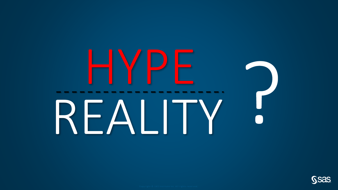